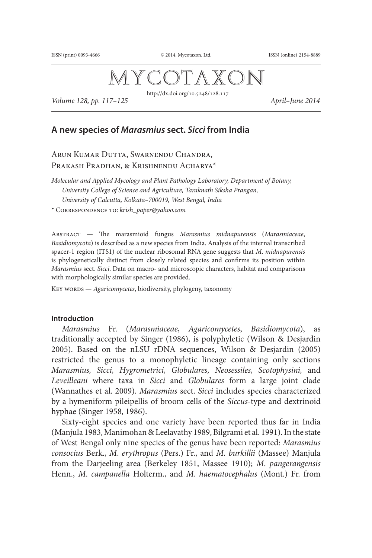MYCOTAXON

http://dx.doi.org/10.5248/128.117

*Volume 128, pp. 117–125 April–June 2014*

# **A new species of** *Marasmius* **sect.** *Sicci* **from India**

Arun Kumar Dutta, Swarnendu Chandra, Prakash Pradhan, & Krishnendu Acharya<sup>\*</sup>

*Molecular and Applied Mycology and Plant Pathology Laboratory, Department of Botany, University College of Science and Agriculture, Taraknath Siksha Prangan, University of Calcutta, Kolkata–700019, West Bengal, India*

\* Correspondence to: *krish\_paper@yahoo.com*

Abstract — The marasmioid fungus *Marasmius midnapurensis* (*Marasmiaceae*, *Basidiomycota*) is described as a new species from India. Analysis of the internal transcribed spacer-1 region (ITS1) of the nuclear ribosomal RNA gene suggests that *M*. *midnapurensis* is phylogenetically distinct from closely related species and confirms its position within *Marasmius* sect. *Sicci*. Data on macro- and microscopic characters, habitat and comparisons with morphologically similar species are provided.

KEY WORDS - *Agaricomycetes*, biodiversity, phylogeny, taxonomy

#### **Introduction**

*Marasmius* Fr. (*Marasmiaceae*, *Agaricomycetes*, *Basidiomycota*), as traditionally accepted by Singer (1986), is polyphyletic (Wilson & Desjardin 2005). Based on the nLSU rDNA sequences, Wilson & Desjardin (2005) restricted the genus to a monophyletic lineage containing only sections *Marasmius, Sicci, Hygrometrici, Globulares, Neosessiles, Scotophysini,* and *Leveilleani* where taxa in *Sicci* and *Globulares* form a large joint clade (Wannathes et al. 2009). *Marasmius* sect. *Sicci* includes species characterized by a hymeniform pileipellis of broom cells of the *Siccus*-type and dextrinoid hyphae (Singer 1958, 1986).

Sixty-eight species and one variety have been reported thus far in India (Manjula 1983, Manimohan & Leelavathy 1989, Bilgrami et al. 1991). In the state of West Bengal only nine species of the genus have been reported: *Marasmius consocius* Berk., *M*. *erythropus* (Pers.) Fr., and *M*. *burkillii* (Massee) Manjula from the Darjeeling area (Berkeley 1851, Massee 1910); *M*. *pangerangensis* Henn., *M*. *campanella* Holterm., and *M*. *haematocephalus* (Mont.) Fr. from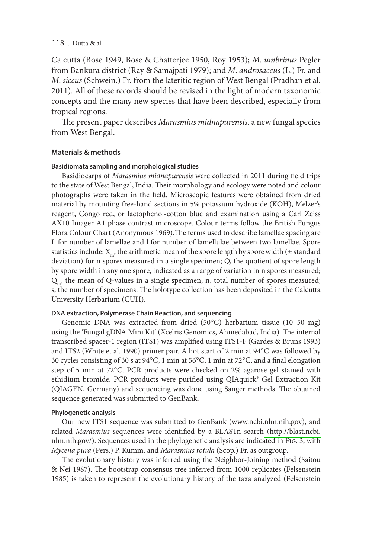Calcutta (Bose 1949, Bose & Chatterjee 1950, Roy 1953); *M*. *umbrinus* Pegler from Bankura district (Ray & Samajpati 1979); and *M*. *androsaceus* (L.) Fr. and *M*. *siccus* (Schwein.) Fr. from the lateritic region of West Bengal (Pradhan et al. 2011). All of these records should be revised in the light of modern taxonomic concepts and the many new species that have been described, especially from tropical regions.

The present paper describes *Marasmius midnapurensis*, a new fungal species from West Bengal.

#### **Materials & methods**

#### **Basidiomata sampling and morphological studies**

Basidiocarps of *Marasmius midnapurensis* were collected in 2011 during field trips to the state of West Bengal, India. Their morphology and ecology were noted and colour photographs were taken in the field. Microscopic features were obtained from dried material by mounting free-hand sections in 5% potassium hydroxide (KOH), Melzer's reagent, Congo red, or lactophenol-cotton blue and examination using a Carl Zeiss AX10 Imager A1 phase contrast microscope. Colour terms follow the British Fungus Flora Colour Chart (Anonymous 1969).The terms used to describe lamellae spacing are L for number of lamellae and l for number of lamellulae between two lamellae. Spore statistics include:  $X_{n}$ , the arithmetic mean of the spore length by spore width ( $\pm$  standard deviation) for n spores measured in a single specimen; Q, the quotient of spore length by spore width in any one spore, indicated as a range of variation in n spores measured; Q<sub>m</sub>, the mean of Q-values in a single specimen; n, total number of spores measured; s, the number of specimens. The holotype collection has been deposited in the Calcutta University Herbarium (CUH).

#### **DNA extraction, Polymerase Chain Reaction, and sequencing**

Genomic DNA was extracted from dried (50°C) herbarium tissue (10–50 mg) using the 'Fungal gDNA Mini Kit' (Xcelris Genomics, Ahmedabad, India). The internal transcribed spacer-1 region (ITS1) was amplified using ITS1-F (Gardes & Bruns 1993) and ITS2 (White et al. 1990) primer pair. A hot start of 2 min at 94°C was followed by 30 cycles consisting of 30 s at 94°C, 1 min at 56°C, 1 min at 72°C, and a final elongation step of 5 min at 72°C. PCR products were checked on 2% agarose gel stained with ethidium bromide. PCR products were purified using QIAquick® Gel Extraction Kit (QIAGEN, Germany) and sequencing was done using Sanger methods. The obtained sequence generated was submitted to GenBank.

#### **Phylogenetic analysis**

Our new ITS1 sequence was submitted to GenBan[k \(www.ncbi.nlm.nih.gov\),](http://www.ncbi.nlm.nih.gov) and related *Marasmius* sequences were identified by a BLASTn search [\(http://blast.ncbi.](http://blast.ncbi) nlm.nih.gov/). Sequences used in the phylogenetic analysis are indicated in FIG. 3, with *Mycena pura* (Pers.) P. Kumm. and *Marasmius rotula* (Scop.) Fr. as outgroup.

The evolutionary history was inferred using the Neighbor-Joining method (Saitou & Nei 1987). The bootstrap consensus tree inferred from 1000 replicates (Felsenstein 1985) is taken to represent the evolutionary history of the taxa analyzed (Felsenstein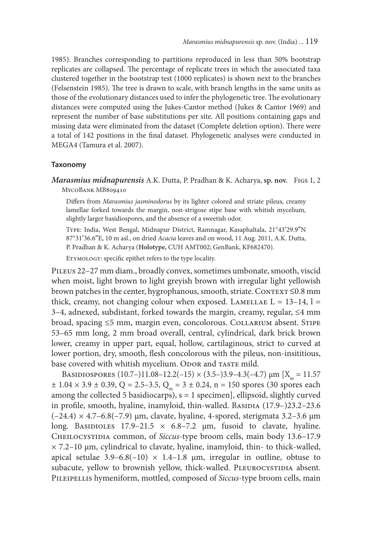1985). Branches corresponding to partitions reproduced in less than 50% bootstrap replicates are collapsed. The percentage of replicate trees in which the associated taxa clustered together in the bootstrap test (1000 replicates) is shown next to the branches (Felsenstein 1985). The tree is drawn to scale, with branch lengths in the same units as those of the evolutionary distances used to infer the phylogenetic tree. The evolutionary distances were computed using the Jukes-Cantor method (Jukes & Cantor 1969) and represent the number of base substitutions per site. All positions containing gaps and missing data were eliminated from the dataset (Complete deletion option). There were a total of 142 positions in the final dataset. Phylogenetic analyses were conducted in MEGA4 (Tamura et al. 2007).

### **Taxonomy**

*Marasmius midnapurensis* A.K. Dutta, P. Pradhan & K. Acharya, **sp. nov.** Figs 1, 2 MycoBank MB809410

Differs from *Marasmius jasminodorus* by its lighter colored and striate pileus, creamy lamellae forked towards the margin, non-strigose stipe base with whitish mycelium, slightly larger basidiospores, and the absence of a sweetish odor.

Type: India, West Bengal, Midnapur District, Ramnagar, Kasaphaltala, 21°43′29.9″N 87°31′36.6″E, 10 m asl., on dried *Acacia* leaves and on wood, 11 Aug. 2011, A.K. Dutta, P. Pradhan & K. Acharya (**Holotype,** CUH AMT002; GenBank, KF682470).

Etymology: specific epithet refers to the type locality.

Pileus 22–27 mm diam., broadly convex, sometimes umbonate, smooth, viscid when moist, light brown to light greyish brown with irregular light yellowish brown patches in the center, hygrophanous, smooth, striate. CONTEXT ≤0.8 mm thick, creamy, not changing colour when exposed. LAMELLAE  $L = 13-14$ ,  $l =$ 3–4, adnexed, subdistant, forked towards the margin, creamy, regular, ≤4 mm broad, spacing ≤5 mm, margin even, concolorous. Collarium absent. Stipe 53–65 mm long, 2 mm broad overall, central, cylindrical, dark brick brown lower, creamy in upper part, equal, hollow, cartilaginous, strict to curved at lower portion, dry, smooth, flesh concolorous with the pileus, non-insititious, base covered with whitish mycelium. ODOR and TASTE mild.

BASIDIOSPORES  $(10.7-)11.08-12.2(-15) \times (3.5-)3.9-4.3(-4.7) \text{ µm } [X_{m} = 11.57]$  $\pm$  1.04 × 3.9  $\pm$  0.39, Q = 2.5–3.5, Q = 3  $\pm$  0.24, n = 150 spores (30 spores each among the collected 5 basidiocarps),  $s = 1$  specimen], ellipsoid, slightly curved in profile, smooth, hyaline, inamyloid, thin-walled. BASIDIA (17.9–)23.2–23.6  $(-24.4) \times 4.7$ –6.8(-7.9) µm, clavate, hyaline, 4-spored, sterigmata 3.2–3.6 µm long. Basidioles  $17.9-21.5 \times 6.8-7.2$  µm, fusoid to clavate, hyaline. Cheilocystidia common, of *Siccus*-type broom cells, main body 13.6–17.9  $\times$  7.2–10  $\mu$ m, cylindrical to clavate, hyaline, inamyloid, thin- to thick-walled, apical setulae  $3.9-6.8(-10) \times 1.4-1.8$  µm, irregular in outline, obtuse to subacute, yellow to brownish yellow, thick-walled. PLEUROCYSTIDIA absent. PILEIPELLIS hymeniform, mottled, composed of *Siccus*-type broom cells, main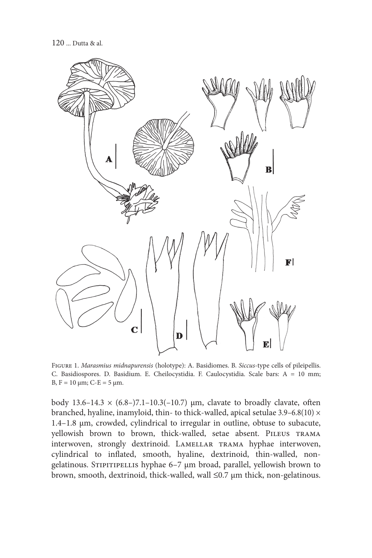

Figure 1. *Marasmius midnapurensis* (holotype): A. Basidiomes. B. *Siccus*-type cells of pileipellis. C. Basidiospores. D. Basidium. E. Cheilocystidia. F. Caulocystidia. Scale bars: A = 10 mm; B,  $F = 10 \mu m$ ; C-E = 5  $\mu m$ .

body  $13.6-14.3 \times (6.8-7.1-10.3(-10.7))$  µm, clavate to broadly clavate, often branched, hyaline, inamyloid, thin- to thick-walled, apical setulae 3.9–6.8(10) × 1.4–1.8 µm, crowded, cylindrical to irregular in outline, obtuse to subacute, yellowish brown to brown, thick-walled, setae absent. PILEUS TRAMA interwoven, strongly dextrinoid. LAMELLAR TRAMA hyphae interwoven, cylindrical to inflated, smooth, hyaline, dextrinoid, thin-walled, nongelatinous. STIPITIPELLIS hyphae 6–7 µm broad, parallel, yellowish brown to brown, smooth, dextrinoid, thick-walled, wall ≤0.7 µm thick, non-gelatinous.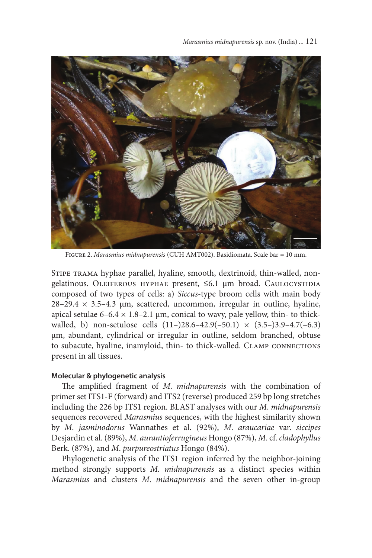

Figure 2. *Marasmius midnapurensis* (CUH AMT002). Basidiomata. Scale bar = 10 mm.

STIPE TRAMA hyphae parallel, hyaline, smooth, dextrinoid, thin-walled, nongelatinous. OLEIFEROUS HYPHAE present, ≤6.1 µm broad. CAULOCYSTIDIA composed of two types of cells: a) *Siccus*-type broom cells with main body  $28-29.4 \times 3.5-4.3$  µm, scattered, uncommon, irregular in outline, hyaline, apical setulae 6–6.4  $\times$  1.8–2.1 µm, conical to wavy, pale yellow, thin- to thickwalled, b) non-setulose cells  $(11–)28.6-42.9(-50.1) \times (3.5–)3.9-4.7(-6.3)$ µm, abundant, cylindrical or irregular in outline, seldom branched, obtuse to subacute, hyaline, inamyloid, thin- to thick-walled. CLAMP CONNECTIONS present in all tissues.

## **Molecular & phylogenetic analysis**

The amplified fragment of *M*. *midnapurensis* with the combination of primer set ITS1-F (forward) and ITS2 (reverse) produced 259 bp long stretches including the 226 bp ITS1 region. BLAST analyses with our *M*. *midnapurensis* sequences recovered *Marasmius* sequences, with the highest similarity shown by *M*. *jasminodorus* Wannathes et al. (92%), *M*. *araucariae* var. *siccipes* Desjardin et al. (89%), *M*. *aurantioferrugineus* Hongo (87%), *M*. cf. *cladophyllus* Berk. (87%), and *M*. *purpureostriatus* Hongo (84%).

Phylogenetic analysis of the ITS1 region inferred by the neighbor-joining method strongly supports *M. midnapurensis* as a distinct species within *Marasmius* and clusters *M*. *midnapurensis* and the seven other in-group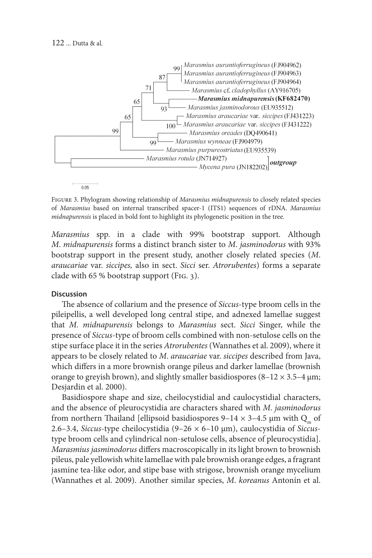

 $0.05$ 

Figure 3. Phylogram showing relationship of *Marasmius midnapurensis* to closely related species of *Marasmius* based on internal transcribed spacer-1 (ITS1) sequences of rDNA. *Marasmius midnapurensis* is placed in bold font to highlight its phylogenetic position in the tree.

*Marasmius* spp. in a clade with 99% bootstrap support. Although *M*. *midnapurensis* forms a distinct branch sister to *M*. *jasminodorus* with 93% bootstrap support in the present study, another closely related species (*M*. *araucariae* var. *siccipes,* also in sect. *Sicci* ser. *Atrorubentes*) forms a separate clade with 65 % bootstrap support (FIG. 3).

# **Discussion**

The absence of collarium and the presence of *Siccus*-type broom cells in the pileipellis, a well developed long central stipe, and adnexed lamellae suggest that *M. midnapurensis* belongs to *Marasmius* sect. *Sicci* Singer, while the presence of *Siccus*-type of broom cells combined with non-setulose cells on the stipe surface place it in the series *Atrorubentes* (Wannathes et al. 2009), where it appears to be closely related to *M*. *araucariae* var. *siccipes* described from Java, which differs in a more brownish orange pileus and darker lamellae (brownish orange to greyish brown), and slightly smaller basidiospores (8-12  $\times$  3.5-4  $\mu$ m; Desjardin et al. 2000).

Basidiospore shape and size, cheilocystidial and caulocystidial characters, and the absence of pleurocystidia are characters shared with *M*. *jasminodorus* from northern Thailand [ellipsoid basidiospores  $9-14 \times 3-4.5$  µm with Q<sub>m</sub> of 2.6–3.4, *Siccus*-type cheilocystidia (9–26 × 6–10 µm), caulocystidia of *Siccus*type broom cells and cylindrical non-setulose cells, absence of pleurocystidia]. *Marasmius jasminodorus* differs macroscopically in its light brown to brownish pileus, pale yellowish white lamellae with pale brownish orange edges, a fragrant jasmine tea-like odor, and stipe base with strigose, brownish orange mycelium (Wannathes et al. 2009). Another similar species, *M*. *koreanus* Antonín et al.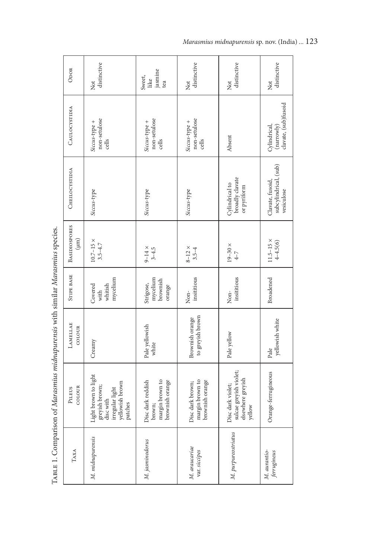| i<br>i                                           |  |
|--------------------------------------------------|--|
| ֖֖֖֪ׅ֖֖֪ׅ֖ׅ֪ׅ֖֪ׅ֪֪ׅ֚֚֚֚֚֚֚֚֚֚֚֚֚֚֚֚֚֚֚֚֚֚֡֝֓֞֓֞֬ |  |
|                                                  |  |
|                                                  |  |
| į                                                |  |
| l                                                |  |
|                                                  |  |
|                                                  |  |
|                                                  |  |
| ï                                                |  |
|                                                  |  |
| $\sim$ + $\sim$                                  |  |
| J<br>Ç                                           |  |
|                                                  |  |
| <br> <br> <br>í<br>$\ddot{\dot{\ }}$<br>ŀ        |  |

| TABLE 1. Comparison of Marasmius midnapurensis with similar Marasmius species. | ODOR                                  | distinctive<br>Not                                                                                   | jasmine<br>Sweet,<br>like<br>tea                                  | distinctive<br><b>Not</b>                              | distinctive<br><b>Not</b>                                                  | distinctive<br>Not                                      |
|--------------------------------------------------------------------------------|---------------------------------------|------------------------------------------------------------------------------------------------------|-------------------------------------------------------------------|--------------------------------------------------------|----------------------------------------------------------------------------|---------------------------------------------------------|
|                                                                                | CAULOCYSTIDIA                         | non-setulose<br>Siccus-type +<br>cells                                                               | non-setulose<br>Siccus-type +<br>cells                            | non-setulose<br>Siccus-type +<br>cells                 | Absent                                                                     | clavate, (sub)fusoid<br>Cylindrical,<br>(narrowly)      |
|                                                                                | <b>CHEILO CYSTIDIA</b>                | Siccus-type                                                                                          | Siccus-type                                                       | Siccus-type                                            | Cylindrical to<br>broadly clavate<br>or pyriform                           | subcylindrical, (sub)<br>Clavate, fusoid,<br>vesiculose |
|                                                                                | <b>BASIDIOSPORES</b><br>$(\text{mm})$ | $10.7 - 15 \times 3.5 - 4.7$                                                                         | $9 - 14 \times 3 - 4.5$                                           | $8 - 12 \times$<br>$3.5 - 4$                           | $19-30 \times$<br>$^{1-7}$                                                 | $11.5 - 15 \times 4 - 4.5(6)$                           |
|                                                                                | STIPE BASE                            | mycelium<br>whitish<br>Covered<br>with                                                               | mycelium<br>brownish<br>Strigose,<br>orange                       | insititious<br>Non-                                    | insititious<br>Non-                                                        | Broadened                                               |
|                                                                                | <b>LAMELLAE</b><br>COLOUR             | Creamy                                                                                               | Pale yellowish<br>white                                           | to greyish brown<br>Brownish orange                    | Pale yellow                                                                | yellowish white<br>Pale                                 |
|                                                                                | COLOUR<br>PILEUS                      | Light brown to light<br>irregular light<br>yellowish brown<br>greyish brown;<br>disc with<br>patches | margin brown to<br>brownish orange<br>Disc dark reddish<br>brown; | margin brown to<br>brownish orange<br>Disc dark brown; | sulcae greyish violet;<br>elsewhere greyish<br>Disc dark violet;<br>yellow | Orange-ferrugineous                                     |
|                                                                                | TAXA                                  | M. midnapurensis                                                                                     | M. jasminodorus                                                   | M. araucariae<br>var. siccipes                         | M. purpureostriatus                                                        | M. aurantio-<br>ferrugineus                             |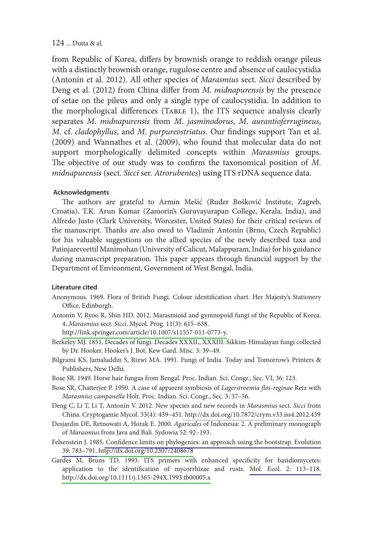from Republic of Korea, differs by brownish orange to reddish orange pileus with a distinctly brownish orange, rugulose centre and absence of caulocystidia (Antonín et al. 2012). All other species of *Marasmius* sect. *Sicci* described by Deng et al. (2012) from China differ from *M*. *midnapurensis* by the presence of setae on the pileus and only a single type of caulocystidia. In addition to the morphological differences (Table 1), the ITS sequence analysis clearly separates *M*. *midnapurensis* from *M*. *jasminodorus*, *M*. *aurantioferrugineus*, *M*. cf. *cladophyllus*, and *M*. *purpureostriatus*. Our findings support Tan et al. (2009) and Wannathes et al. (2009), who found that molecular data do not support morphologically delimited concepts within *Marasmius* groups. The objective of our study was to confirm the taxonomical position of *M*. *midnapurensis* (sect. *Sicci* ser. *Atrorubentes*) using ITS rDNA sequence data.

## **Acknowledgments**

The authors are grateful to Armin Mešić (Ruđer Bošković Institute, Zagreb, Croatia), T.K. Arun Kumar (Zamorin's Guruvayurapan College, Kerala, India), and Alfredo Justo (Clark University, Worcester, United States) for their critical reviews of the manuscript. Thanks are also owed to Vladimír Antonín (Brno, Czech Republic) for his valuable suggestions on the allied species of the newly described taxa and Patinjareveettil Manimohan (University of Calicut, Malappuram, India) for his guidance during manuscript preparation. This paper appears through financial support by the Department of Environment, Government of West Bengal, India.

# **Literature cited**

- Anonymous. 1969. Flora of British Fungi. Colour identification chart. Her Majesty's Stationery Office, Edinburgh.
- Antonín V, Ryoo R, Shin HD. 2012. Marasmioid and gymnopoid fungi of the Republic of Korea. 4. *Marasmius* sect. *Sicci*. Mycol. Prog. 11(3): 615–638.
- [http://link.springer.com/article/10.1007/s11557-011-0773-y.](http://link.springer.com/article/10.1007/s11557-011-0773-y)
- Berkeley MJ. 1851. Decades of fungi. Decades XXXII., XXXIII. Sikkim-Himalayan fungi collected by Dr. Hooker. Hooker's J. Bot. Kew Gard. Misc. 3: 39–49.
- Bilgrami KS, Jamaluddin S, Rizwi MA. 1991. Fungi of India. Today and Tomorrow's Printers & Publishers, New Delhi.
- Bose SR. 1949. Horse hair fungus from Bengal. Proc. Indian. Sci. Congr., Sec. VI, 36: 123.
- Bose SR, Chatterjee P. 1950. A case of apparent symbiosis of *Lagerstroemia flos*-*reginae* Retz with *Marasmius campanella* Holt. Proc. Indian. Sci. Congr., Sec. 3: 37–56.
- Deng C, Li T, Li T, Antonín V. 2012. New species and new records in *Marasmius* sect. *Sicci* from China. Cryptogamie Mycol. 33(4): 439–451[. http://dx.doi.org/10.7872/crym.v33.iss4.2012.439](http://dx.doi.org/10.7872/crym.v33.iss4.2012.439)
- Desjardin DE, Retnowati A, Horak E. 2000. *Agaricales* of Indonesia: 2. A preliminary monograph of *Marasmius* from Java and Bali. Sydowia 52: 92–193.
- Felsenstein J. 1985. [Confidence limits on phylogenies: an approach using the bootstrap. Evolution](http://www.ingentaconnect.com/content/external-references?article=0014-3820()39L.783[aid=28361])  [39: 783–791.](http://www.ingentaconnect.com/content/external-references?article=0014-3820()39L.783[aid=28361])<http://dx.doi.org/10.2307/2408678>
- Gardes M, Bruns TD. 1993. ITS primers with enhanced specificity for basidiomycetes: application to the identification of mycorrhizae and rusts. [Mol. Ecol. 2: 113–118.](http://www.ingentaconnect.com/content/external-references?article=0962-1083()2L.113[aid=4768884])  <http://dx.doi.org/10.1111/j.1365-294X.1993.tb00005.x>